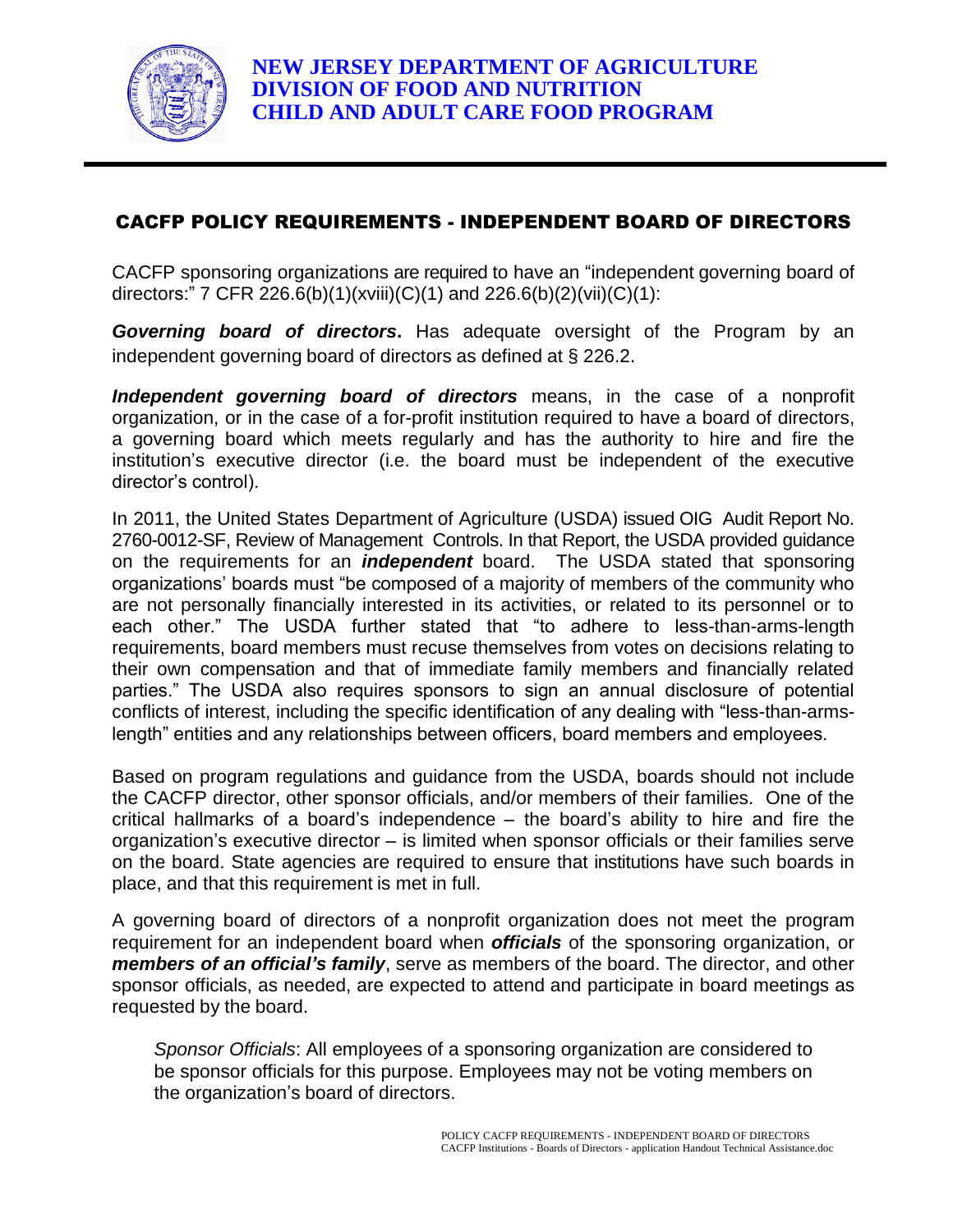

## CACFP POLICY REQUIREMENTS - INDEPENDENT BOARD OF DIRECTORS

CACFP sponsoring organizations are required to have an "independent governing board of directors:" 7 CFR 226.6(b)(1)(xviii)(C)(1) and 226.6(b)(2)(vii)(C)(1):

*Governing board of directors***.** Has adequate oversight of the Program by an independent governing board of directors as defined at § 226.2.

*Independent governing board of directors* means, in the case of a nonprofit organization, or in the case of a for-profit institution required to have a board of directors, a governing board which meets regularly and has the authority to hire and fire the institution's executive director (i.e. the board must be independent of the executive director's control).

In 2011, the United States Department of Agriculture (USDA) issued OIG Audit Report No. 2760-0012-SF, Review of Management Controls. In that Report, the USDA provided guidance on the requirements for an *independent* board. The USDA stated that sponsoring organizations' boards must "be composed of a majority of members of the community who are not personally financially interested in its activities, or related to its personnel or to each other." The USDA further stated that "to adhere to less-than-arms-length requirements, board members must recuse themselves from votes on decisions relating to their own compensation and that of immediate family members and financially related parties." The USDA also requires sponsors to sign an annual disclosure of potential conflicts of interest, including the specific identification of any dealing with "less-than-armslength" entities and any relationships between officers, board members and employees.

Based on program regulations and guidance from the USDA, boards should not include the CACFP director, other sponsor officials, and/or members of their families. One of the critical hallmarks of a board's independence – the board's ability to hire and fire the organization's executive director – is limited when sponsor officials or their families serve on the board. State agencies are required to ensure that institutions have such boards in place, and that this requirement is met in full.

A governing board of directors of a nonprofit organization does not meet the program requirement for an independent board when *officials* of the sponsoring organization, or *members of an official's family*, serve as members of the board. The director, and other sponsor officials, as needed, are expected to attend and participate in board meetings as requested by the board.

*Sponsor Officials*: All employees of a sponsoring organization are considered to be sponsor officials for this purpose. Employees may not be voting members on the organization's board of directors.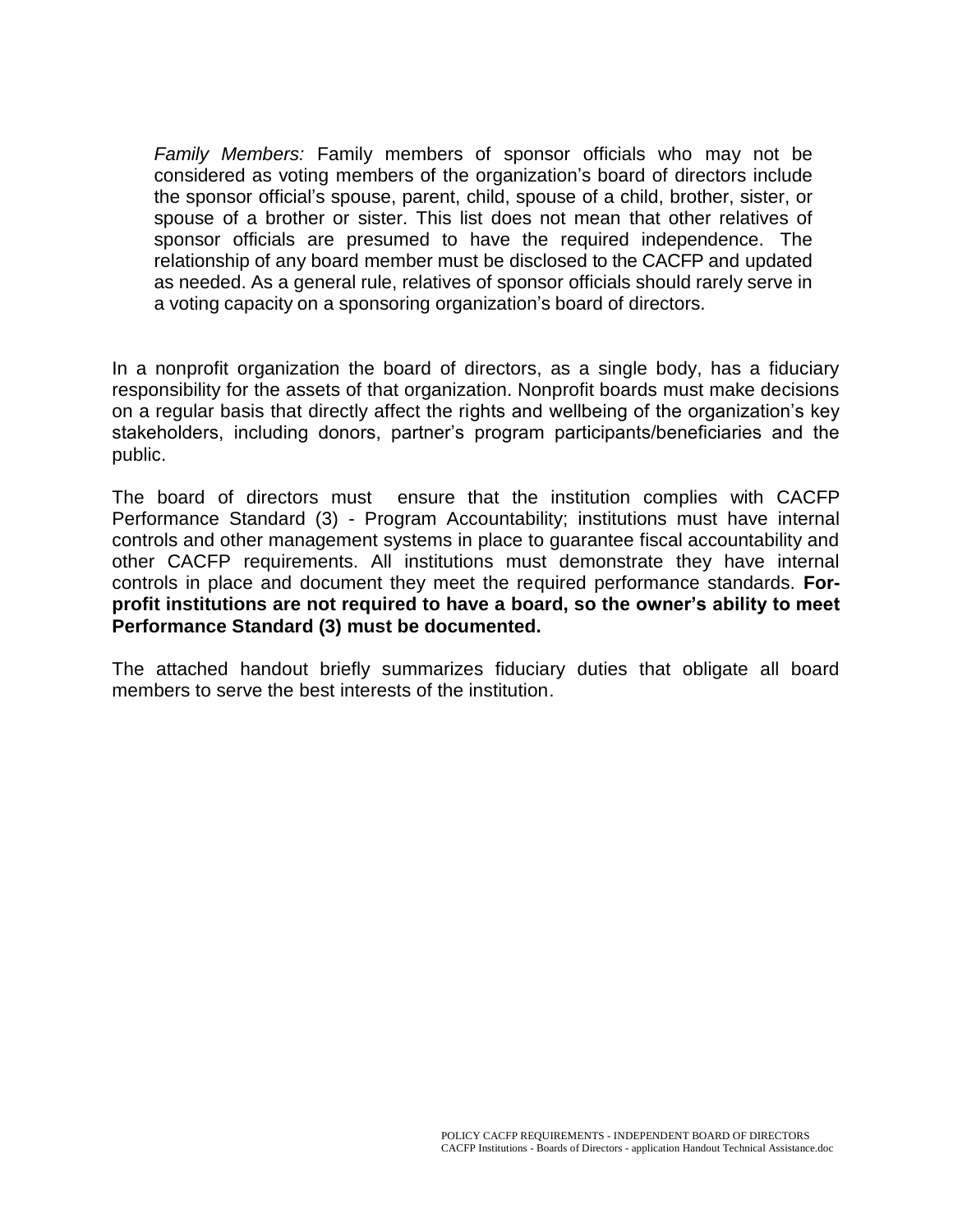*Family Members:* Family members of sponsor officials who may not be considered as voting members of the organization's board of directors include the sponsor official's spouse, parent, child, spouse of a child, brother, sister, or spouse of a brother or sister. This list does not mean that other relatives of sponsor officials are presumed to have the required independence. The relationship of any board member must be disclosed to the CACFP and updated as needed. As a general rule, relatives of sponsor officials should rarely serve in a voting capacity on a sponsoring organization's board of directors.

In a nonprofit organization the board of directors, as a single body, has a fiduciary responsibility for the assets of that organization. Nonprofit boards must make decisions on a regular basis that directly affect the rights and wellbeing of the organization's key stakeholders, including donors, partner's program participants/beneficiaries and the public.

The board of directors must ensure that the institution complies with CACFP Performance Standard (3) - Program Accountability; institutions must have internal controls and other management systems in place to guarantee fiscal accountability and other CACFP requirements. All institutions must demonstrate they have internal controls in place and document they meet the required performance standards. **Forprofit institutions are not required to have a board, so the owner's ability to meet Performance Standard (3) must be documented.**

The attached handout briefly summarizes fiduciary duties that obligate all board members to serve the best interests of the institution.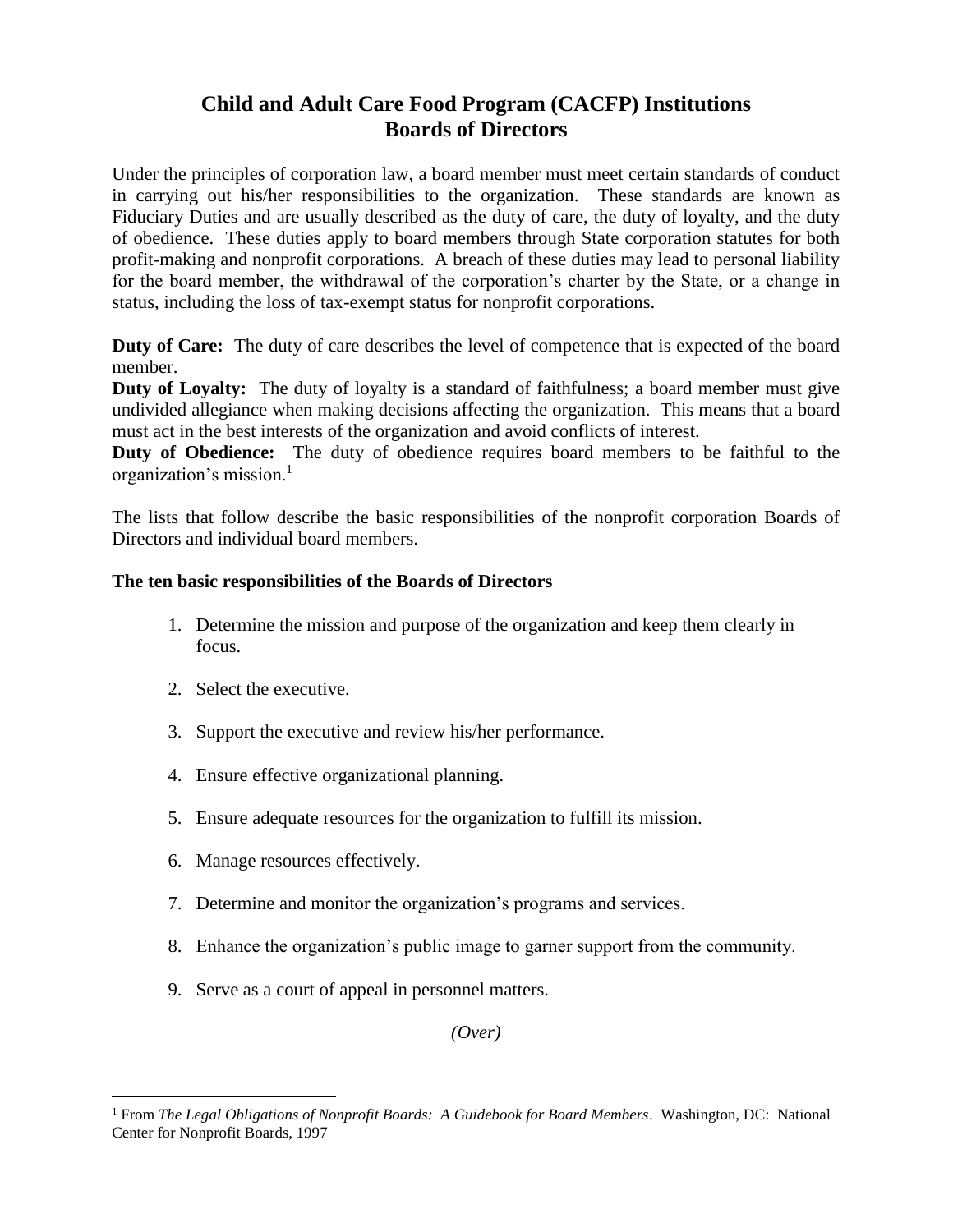# **Child and Adult Care Food Program (CACFP) Institutions Boards of Directors**

Under the principles of corporation law, a board member must meet certain standards of conduct in carrying out his/her responsibilities to the organization. These standards are known as Fiduciary Duties and are usually described as the duty of care, the duty of loyalty, and the duty of obedience. These duties apply to board members through State corporation statutes for both profit-making and nonprofit corporations. A breach of these duties may lead to personal liability for the board member, the withdrawal of the corporation's charter by the State, or a change in status, including the loss of tax-exempt status for nonprofit corporations.

**Duty of Care:** The duty of care describes the level of competence that is expected of the board member.

**Duty of Loyalty:** The duty of loyalty is a standard of faithfulness; a board member must give undivided allegiance when making decisions affecting the organization. This means that a board must act in the best interests of the organization and avoid conflicts of interest.

**Duty of Obedience:** The duty of obedience requires board members to be faithful to the organization's mission.<sup>1</sup>

The lists that follow describe the basic responsibilities of the nonprofit corporation Boards of Directors and individual board members.

### **The ten basic responsibilities of the Boards of Directors**

- 1. Determine the mission and purpose of the organization and keep them clearly in focus.
- 2. Select the executive.

 $\overline{a}$ 

- 3. Support the executive and review his/her performance.
- 4. Ensure effective organizational planning.
- 5. Ensure adequate resources for the organization to fulfill its mission.
- 6. Manage resources effectively.
- 7. Determine and monitor the organization's programs and services.
- 8. Enhance the organization's public image to garner support from the community.
- 9. Serve as a court of appeal in personnel matters.

*(Over)*

<sup>1</sup> From *The Legal Obligations of Nonprofit Boards: A Guidebook for Board Members*. Washington, DC: National Center for Nonprofit Boards, 1997